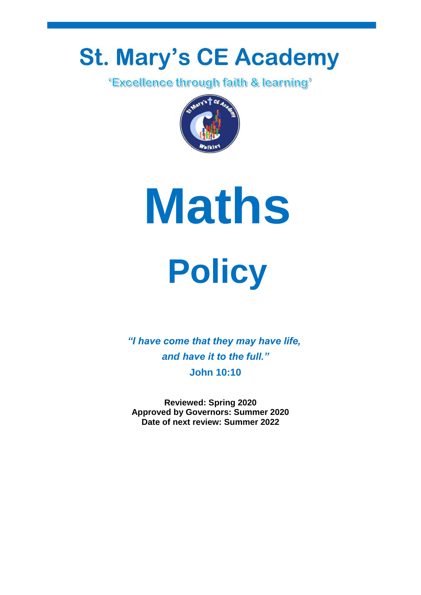# **St. Mary's CE Academy**<br>Excellence through faith & learning'





**Policy**

*"I have come that they may have life, and have it to the full."* **John 10:10**

**Reviewed: Spring 2020 Approved by Governors: Summer 2020 Date of next review: Summer 2022**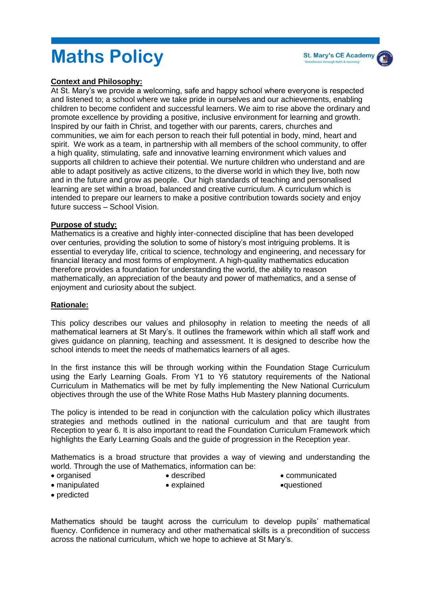# **Maths Policy**

#### **Context and Philosophy:**

At St. Mary's we provide a welcoming, safe and happy school where everyone is respected and listened to; a school where we take pride in ourselves and our achievements, enabling children to become confident and successful learners. We aim to rise above the ordinary and promote excellence by providing a positive, inclusive environment for learning and growth. Inspired by our faith in Christ, and together with our parents, carers, churches and communities, we aim for each person to reach their full potential in body, mind, heart and spirit. We work as a team, in partnership with all members of the school community, to offer a high quality, stimulating, safe and innovative learning environment which values and supports all children to achieve their potential. We nurture children who understand and are able to adapt positively as active citizens, to the diverse world in which they live, both now and in the future and grow as people. Our high standards of teaching and personalised learning are set within a broad, balanced and creative curriculum. A curriculum which is intended to prepare our learners to make a positive contribution towards society and enjoy future success – School Vision.

#### **Purpose of study:**

Mathematics is a creative and highly inter-connected discipline that has been developed over centuries, providing the solution to some of history's most intriguing problems. It is essential to everyday life, critical to science, technology and engineering, and necessary for financial literacy and most forms of employment. A high-quality mathematics education therefore provides a foundation for understanding the world, the ability to reason mathematically, an appreciation of the beauty and power of mathematics, and a sense of enjoyment and curiosity about the subject.

#### **Rationale:**

This policy describes our values and philosophy in relation to meeting the needs of all mathematical learners at St Mary's. It outlines the framework within which all staff work and gives guidance on planning, teaching and assessment. It is designed to describe how the school intends to meet the needs of mathematics learners of all ages.

In the first instance this will be through working within the Foundation Stage Curriculum using the Early Learning Goals. From Y1 to Y6 statutory requirements of the National Curriculum in Mathematics will be met by fully implementing the New National Curriculum objectives through the use of the White Rose Maths Hub Mastery planning documents.

The policy is intended to be read in conjunction with the calculation policy which illustrates strategies and methods outlined in the national curriculum and that are taught from Reception to year 6. It is also important to read the Foundation Curriculum Framework which highlights the Early Learning Goals and the guide of progression in the Reception year.

Mathematics is a broad structure that provides a way of viewing and understanding the world. Through the use of Mathematics, information can be:

organised

described

communicated

manipulated

- explained
- questioned

• predicted

Mathematics should be taught across the curriculum to develop pupils' mathematical fluency. Confidence in numeracy and other mathematical skills is a precondition of success across the national curriculum, which we hope to achieve at St Mary's.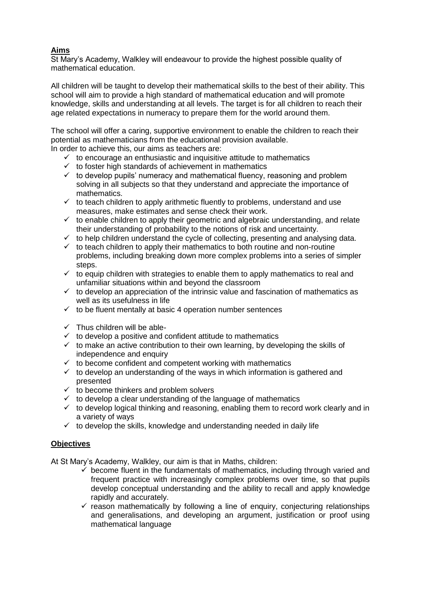# **Aims**

St Mary's Academy, Walkley will endeavour to provide the highest possible quality of mathematical education.

All children will be taught to develop their mathematical skills to the best of their ability. This school will aim to provide a high standard of mathematical education and will promote knowledge, skills and understanding at all levels. The target is for all children to reach their age related expectations in numeracy to prepare them for the world around them.

The school will offer a caring, supportive environment to enable the children to reach their potential as mathematicians from the educational provision available.

In order to achieve this, our aims as teachers are:

- $\checkmark$  to encourage an enthusiastic and inquisitive attitude to mathematics
- to foster high standards of achievement in mathematics
- $\checkmark$  to develop pupils' numeracy and mathematical fluency, reasoning and problem solving in all subjects so that they understand and appreciate the importance of mathematics.
- $\checkmark$  to teach children to apply arithmetic fluently to problems, understand and use measures, make estimates and sense check their work.
- $\checkmark$  to enable children to apply their geometric and algebraic understanding, and relate their understanding of probability to the notions of risk and uncertainty.
- $\checkmark$  to help children understand the cycle of collecting, presenting and analysing data.
- $\checkmark$  to teach children to apply their mathematics to both routine and non-routine problems, including breaking down more complex problems into a series of simpler steps.
- $\checkmark$  to equip children with strategies to enable them to apply mathematics to real and unfamiliar situations within and beyond the classroom
- $\checkmark$  to develop an appreciation of the intrinsic value and fascination of mathematics as well as its usefulness in life
- $\checkmark$  to be fluent mentally at basic 4 operation number sentences
- $\checkmark$  Thus children will be able-
- $\checkmark$  to develop a positive and confident attitude to mathematics
- $\checkmark$  to make an active contribution to their own learning, by developing the skills of independence and enquiry
- $\checkmark$  to become confident and competent working with mathematics
- $\checkmark$  to develop an understanding of the ways in which information is gathered and presented
- $\checkmark$  to become thinkers and problem solvers
- $\checkmark$  to develop a clear understanding of the language of mathematics
- $\checkmark$  to develop logical thinking and reasoning, enabling them to record work clearly and in a variety of ways
- $\checkmark$  to develop the skills, knowledge and understanding needed in daily life

#### **Objectives**

At St Mary's Academy, Walkley, our aim is that in Maths, children:

- $\checkmark$  become fluent in the fundamentals of mathematics, including through varied and frequent practice with increasingly complex problems over time, so that pupils develop conceptual understanding and the ability to recall and apply knowledge rapidly and accurately.
- $\checkmark$  reason mathematically by following a line of enquiry, conjecturing relationships and generalisations, and developing an argument, justification or proof using mathematical language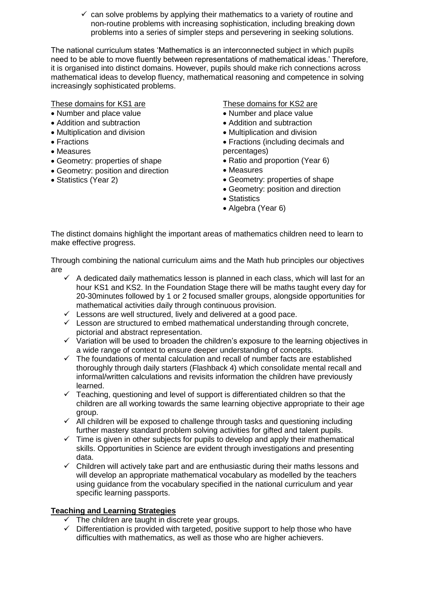$\checkmark$  can solve problems by applying their mathematics to a variety of routine and non-routine problems with increasing sophistication, including breaking down problems into a series of simpler steps and persevering in seeking solutions.

The national curriculum states 'Mathematics is an interconnected subject in which pupils need to be able to move fluently between representations of mathematical ideas.' Therefore, it is organised into distinct domains. However, pupils should make rich connections across mathematical ideas to develop fluency, mathematical reasoning and competence in solving increasingly sophisticated problems.

These domains for KS1 are

- Number and place value
- Addition and subtraction
- Multiplication and division
- Fractions
- Measures
- Geometry: properties of shape
- Geometry: position and direction
- Statistics (Year 2)

These domains for KS2 are

- Number and place value
- Addition and subtraction
- Multiplication and division
- Fractions (including decimals and percentages)
- Ratio and proportion (Year 6)
- Measures
- Geometry: properties of shape
- Geometry: position and direction
- Statistics
- Algebra (Year 6)

The distinct domains highlight the important areas of mathematics children need to learn to make effective progress.

Through combining the national curriculum aims and the Math hub principles our objectives are

- $\checkmark$  A dedicated daily mathematics lesson is planned in each class, which will last for an hour KS1 and KS2. In the Foundation Stage there will be maths taught every day for 20-30minutes followed by 1 or 2 focused smaller groups, alongside opportunities for mathematical activities daily through continuous provision.
- $\checkmark$  Lessons are well structured, lively and delivered at a good pace.
- $\checkmark$  Lesson are structured to embed mathematical understanding through concrete, pictorial and abstract representation.
- $\checkmark$  Variation will be used to broaden the children's exposure to the learning objectives in a wide range of context to ensure deeper understanding of concepts.
- $\checkmark$  The foundations of mental calculation and recall of number facts are established thoroughly through daily starters (Flashback 4) which consolidate mental recall and informal/written calculations and revisits information the children have previously learned.
- $\checkmark$  Teaching, questioning and level of support is differentiated children so that the children are all working towards the same learning objective appropriate to their age group.
- $\checkmark$  All children will be exposed to challenge through tasks and questioning including further mastery standard problem solving activities for gifted and talent pupils.
- $\checkmark$  Time is given in other subjects for pupils to develop and apply their mathematical skills. Opportunities in Science are evident through investigations and presenting data.
- $\checkmark$  Children will actively take part and are enthusiastic during their maths lessons and will develop an appropriate mathematical vocabulary as modelled by the teachers using guidance from the vocabulary specified in the national curriculum and year specific learning passports.

#### **Teaching and Learning Strategies**

- The children are taught in discrete year groups.
- $\checkmark$  Differentiation is provided with targeted, positive support to help those who have difficulties with mathematics, as well as those who are higher achievers.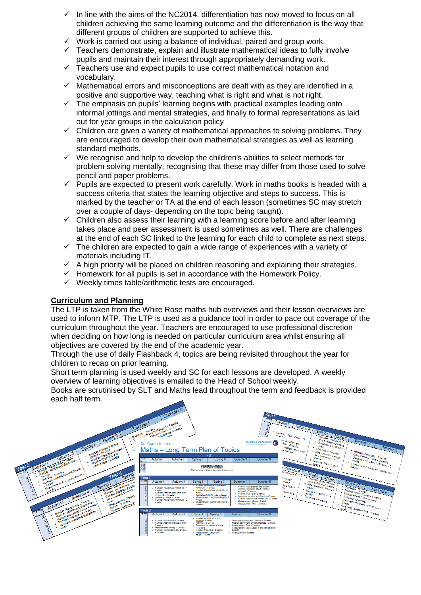- In line with the aims of the NC2014, differentiation has now moved to focus on all children achieving the same learning outcome and the differentiation is the way that different groups of children are supported to achieve this.
- $\checkmark$  Work is carried out using a balance of individual, paired and group work.
- $\checkmark$  Teachers demonstrate, explain and illustrate mathematical ideas to fully involve pupils and maintain their interest through appropriately demanding work.
- $\checkmark$  Teachers use and expect pupils to use correct mathematical notation and vocabulary.
- $\checkmark$  Mathematical errors and misconceptions are dealt with as they are identified in a positive and supportive way, teaching what is right and what is not right.
- $\checkmark$  The emphasis on pupils' learning begins with practical examples leading onto informal jottings and mental strategies, and finally to formal representations as laid out for year groups in the calculation policy
- $\checkmark$  Children are given a variety of mathematical approaches to solving problems. They are encouraged to develop their own mathematical strategies as well as learning standard methods.
- $\checkmark$  We recognise and help to develop the children's abilities to select methods for problem solving mentally, recognising that these may differ from those used to solve pencil and paper problems.
- $\checkmark$  Pupils are expected to present work carefully. Work in maths books is headed with a success criteria that states the learning objective and steps to success. This is marked by the teacher or TA at the end of each lesson (sometimes SC may stretch over a couple of days- depending on the topic being taught).
- $\checkmark$  Children also assess their learning with a learning score before and after learning takes place and peer assessment is used sometimes as well. There are challenges at the end of each SC linked to the learning for each child to complete as next steps.
- $\checkmark$  The children are expected to gain a wide range of experiences with a variety of materials including IT.
- $\checkmark$  A high priority will be placed on children reasoning and explaining their strategies.
- $\checkmark$  Homework for all pupils is set in accordance with the Homework Policy.
- $\checkmark$  Weekly times table/arithmetic tests are encouraged.

#### **Curriculum and Planning**

The LTP is taken from the White Rose maths hub overviews and their lesson overviews are used to inform MTP. The LTP is used as a guidance tool in order to pace out coverage of the curriculum throughout the year. Teachers are encouraged to use professional discretion when deciding on how long is needed on particular curriculum area whilst ensuring all objectives are covered by the end of the academic year.

Through the use of daily Flashback 4, topics are being revisited throughout the year for children to recap on prior learning.

Short term planning is used weekly and SC for each lessons are developed. A weekly overview of learning objectives is emailed to the Head of School weekly.

Books are scrutinised by SLT and Maths lead throughout the term and feedback is provided each half term.

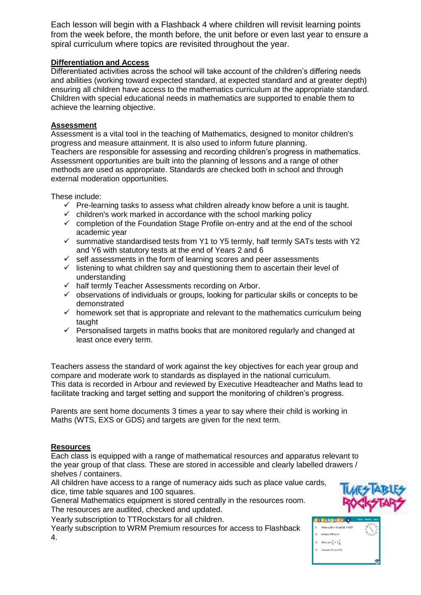Each lesson will begin with a Flashback 4 where children will revisit learning points from the week before, the month before, the unit before or even last year to ensure a spiral curriculum where topics are revisited throughout the year.

### **Differentiation and Access**

Differentiated activities across the school will take account of the children's differing needs and abilities (working toward expected standard, at expected standard and at greater depth) ensuring all children have access to the mathematics curriculum at the appropriate standard. Children with special educational needs in mathematics are supported to enable them to achieve the learning objective.

#### **Assessment**

Assessment is a vital tool in the teaching of Mathematics, designed to monitor children's progress and measure attainment. It is also used to inform future planning. Teachers are responsible for assessing and recording children's progress in mathematics. Assessment opportunities are built into the planning of lessons and a range of other methods are used as appropriate. Standards are checked both in school and through external moderation opportunities.

These include:

- $\checkmark$  Pre-learning tasks to assess what children already know before a unit is taught.
- $\checkmark$  children's work marked in accordance with the school marking policy
- $\checkmark$  completion of the Foundation Stage Profile on-entry and at the end of the school academic year
- $\checkmark$  summative standardised tests from Y1 to Y5 termly, half termly SATs tests with Y2 and Y6 with statutory tests at the end of Years 2 and 6
- $\checkmark$  self assessments in the form of learning scores and peer assessments
- $\checkmark$  listening to what children say and questioning them to ascertain their level of understanding
- $\checkmark$  half termly Teacher Assessments recording on Arbor.
- $\checkmark$  observations of individuals or groups, looking for particular skills or concepts to be demonstrated
- $\checkmark$  homework set that is appropriate and relevant to the mathematics curriculum being taught
- $\checkmark$  Personalised targets in maths books that are monitored regularly and changed at least once every term.

Teachers assess the standard of work against the key objectives for each year group and compare and moderate work to standards as displayed in the national curriculum. This data is recorded in Arbour and reviewed by Executive Headteacher and Maths lead to facilitate tracking and target setting and support the monitoring of children's progress.

Parents are sent home documents 3 times a year to say where their child is working in Maths (WTS, EXS or GDS) and targets are given for the next term.

# **Resources**

Each class is equipped with a range of mathematical resources and apparatus relevant to the year group of that class. These are stored in accessible and clearly labelled drawers / shelves / containers.

All children have access to a range of numeracy aids such as place value cards, dice, time table squares and 100 squares.

General Mathematics equipment is stored centrally in the resources room. The resources are audited, checked and updated.

Yearly subscription to TTRockstars for all children.

Yearly subscription to WRM Premium resources for access to Flashback 4.